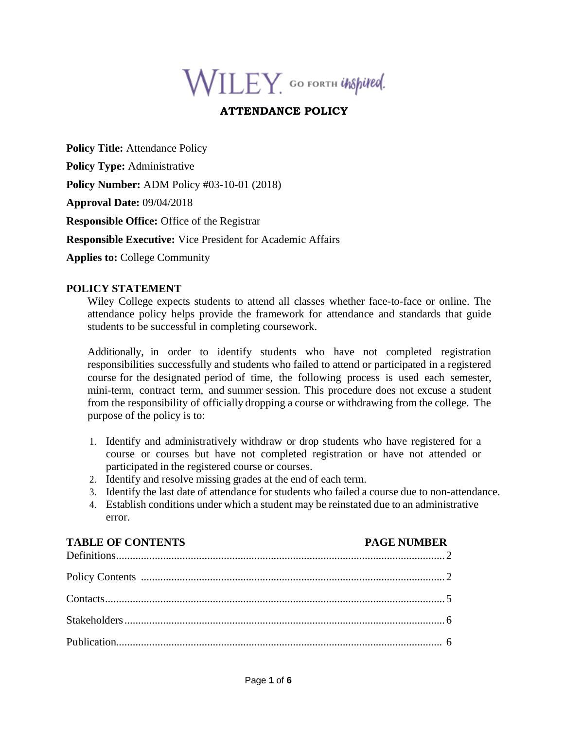# $\mathsf{WILEY}_\cdot$  GO FORTH UNSpited.

# **ATTENDANCE POLICY**

**Policy Title: Attendance Policy** 

**Policy Type:** Administrative

**Policy Number:** ADM Policy #03-10-01 (2018)

**Approval Date:** 09/04/2018

**Responsible Office:** Office of the Registrar

**Responsible Executive:** Vice President for Academic Affairs

**Applies to:** College Community

#### **POLICY STATEMENT**

Wiley College expects students to attend all classes whether face-to-face or online. The attendance policy helps provide the framework for attendance and standards that guide students to be successful in completing coursework.

Additionally, in order to identify students who have not completed registration responsibilities successfully and students who failed to attend or participated in a registered course for the designated period of time, the following process is used each semester, mini-term, contract term, and summer session. This procedure does not excuse a student from the responsibility of officially dropping a course or withdrawing from the college. The purpose of the policy is to:

- 1. Identify and administratively withdraw or drop students who have registered for a course or courses but have not completed registration or have not attended or participated in the registered course or courses.
- 2. Identify and resolve missing grades at the end of each term.
- 3. Identify the last date of attendance for students who failed a course due to non-attendance.
- 4. Establish conditions under which a student may be reinstated due to an administrative error.

| <b>TABLE OF CONTENTS</b> | <b>PAGE NUMBER</b> |
|--------------------------|--------------------|
|                          |                    |
|                          |                    |
|                          |                    |
|                          |                    |
|                          |                    |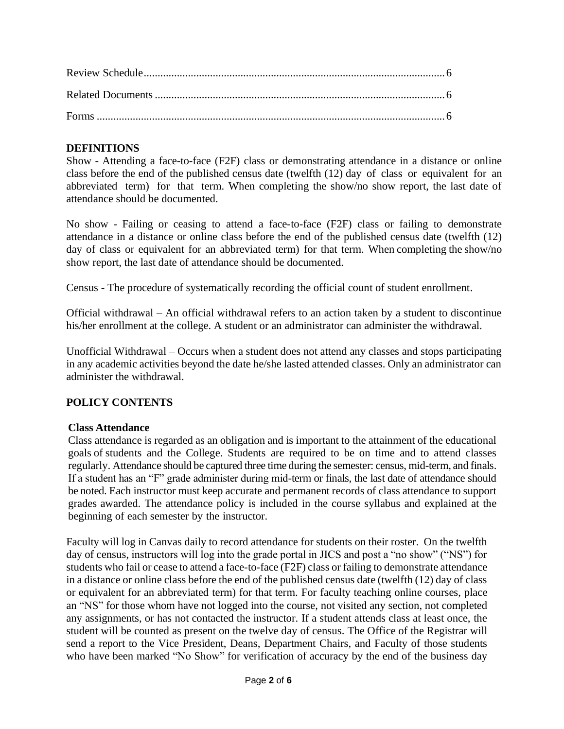## **DEFINITIONS**

Show - Attending a face-to-face (F2F) class or demonstrating attendance in a distance or online class before the end of the published census date (twelfth (12) day of class or equivalent for an abbreviated term) for that term. When completing the show/no show report, the last date of attendance should be documented.

No show - Failing or ceasing to attend a face-to-face (F2F) class or failing to demonstrate attendance in a distance or online class before the end of the published census date (twelfth (12) day of class or equivalent for an abbreviated term) for that term. When completing the show/no show report, the last date of attendance should be documented.

Census - The procedure of systematically recording the official count of student enrollment.

Official withdrawal – An official withdrawal refers to an action taken by a student to discontinue his/her enrollment at the college. A student or an administrator can administer the withdrawal.

Unofficial Withdrawal – Occurs when a student does not attend any classes and stops participating in any academic activities beyond the date he/she lasted attended classes. Only an administrator can administer the withdrawal.

## **POLICY CONTENTS**

## **Class Attendance**

Class attendance is regarded as an obligation and is important to the attainment of the educational goals of students and the College. Students are required to be on time and to attend classes regularly. Attendance should be captured three time during the semester: census, mid-term, and finals. If a student has an "F" grade administer during mid-term or finals, the last date of attendance should be noted. Each instructor must keep accurate and permanent records of class attendance to support grades awarded. The attendance policy is included in the course syllabus and explained at the beginning of each semester by the instructor.

Faculty will log in Canvas daily to record attendance for students on their roster. On the twelfth day of census, instructors will log into the grade portal in JICS and post a "no show" ("NS") for students who fail or cease to attend a face-to-face (F2F) class or failing to demonstrate attendance in a distance or online class before the end of the published census date (twelfth (12) day of class or equivalent for an abbreviated term) for that term. For faculty teaching online courses, place an "NS" for those whom have not logged into the course, not visited any section, not completed any assignments, or has not contacted the instructor. If a student attends class at least once, the student will be counted as present on the twelve day of census. The Office of the Registrar will send a report to the Vice President, Deans, Department Chairs, and Faculty of those students who have been marked "No Show" for verification of accuracy by the end of the business day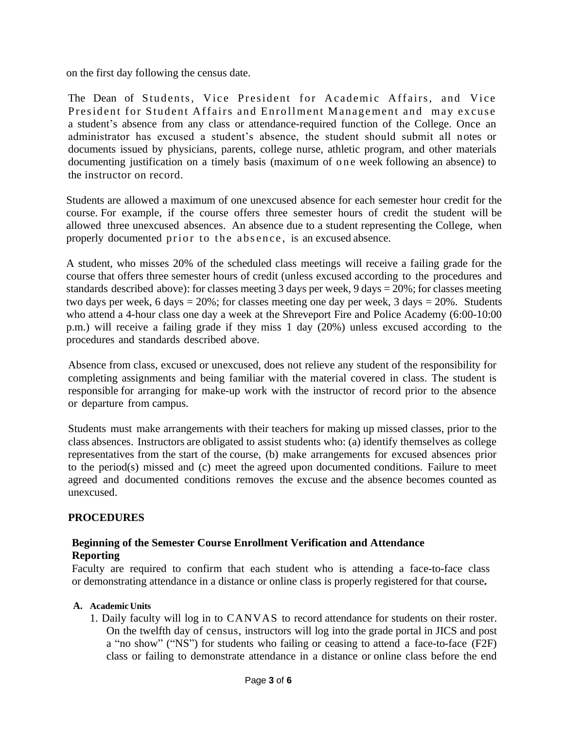on the first day following the census date.

The Dean of Students, Vice President for Academic Affairs, and Vice President for Student Affairs and Enrollment Management and may excuse a student's absence from any class or attendance-required function of the College. Once an administrator has excused a student's absence, the student should submit all notes or documents issued by physicians, parents, college nurse, athletic program, and other materials documenting justification on a timely basis (maximum of one week following an absence) to the instructor on record.

Students are allowed a maximum of one unexcused absence for each semester hour credit for the course. For example, if the course offers three semester hours of credit the student will be allowed three unexcused absences. An absence due to a student representing the College, when properly documented prior to the absence, is an excused absence.

A student, who misses 20% of the scheduled class meetings will receive a failing grade for the course that offers three semester hours of credit (unless excused according to the procedures and standards described above): for classes meeting 3 days per week, 9 days = 20%; for classes meeting two days per week, 6 days =  $20\%$ ; for classes meeting one day per week, 3 days =  $20\%$ . Students who attend a 4-hour class one day a week at the Shreveport Fire and Police Academy (6:00-10:00 p.m.) will receive a failing grade if they miss 1 day (20%) unless excused according to the procedures and standards described above.

Absence from class, excused or unexcused, does not relieve any student of the responsibility for completing assignments and being familiar with the material covered in class. The student is responsible for arranging for make-up work with the instructor of record prior to the absence or departure from campus.

Students must make arrangements with their teachers for making up missed classes, prior to the class absences. Instructors are obligated to assist students who: (a) identify themselves as college representatives from the start of the course, (b) make arrangements for excused absences prior to the period(s) missed and (c) meet the agreed upon documented conditions. Failure to meet agreed and documented conditions removes the excuse and the absence becomes counted as unexcused.

## **PROCEDURES**

## **Beginning of the Semester Course Enrollment Verification and Attendance Reporting**

Faculty are required to confirm that each student who is attending a face-to-face class or demonstrating attendance in a distance or online class is properly registered for that course**.**

#### **A. Academic Units**

1. Daily faculty will log in to CANVAS to record attendance for students on their roster. On the twelfth day of census, instructors will log into the grade portal in JICS and post a "no show" ("NS") for students who failing or ceasing to attend a face-to-face (F2F) class or failing to demonstrate attendance in a distance or online class before the end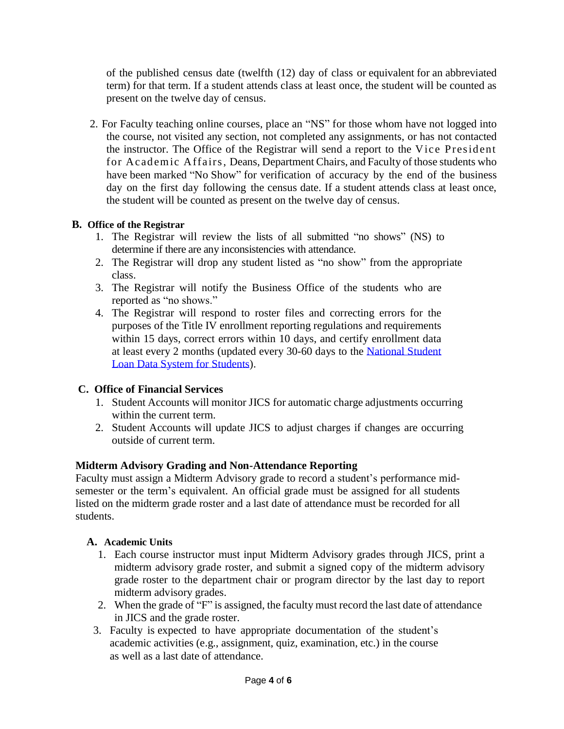of the published census date (twelfth (12) day of class or equivalent for an abbreviated term) for that term. If a student attends class at least once, the student will be counted as present on the twelve day of census.

2. For Faculty teaching online courses, place an "NS" for those whom have not logged into the course, not visited any section, not completed any assignments, or has not contacted the instructor. The Office of the Registrar will send a report to the V ice Pres ident for Academic Affairs, Deans, Department Chairs, and Faculty of those students who have been marked "No Show" for verification of accuracy by the end of the business day on the first day following the census date. If a student attends class at least once, the student will be counted as present on the twelve day of census.

## **B. Office of the Registrar**

- 1. The Registrar will review the lists of all submitted "no shows" (NS) to determine if there are any inconsistencies with attendance.
- 2. The Registrar will drop any student listed as "no show" from the appropriate class.
- 3. The Registrar will notify the Business Office of the students who are reported as "no shows."
- 4. The Registrar will respond to roster files and correcting errors for the purposes of the Title IV enrollment reporting regulations and requirements within 15 days, correct errors within 10 days, and certify enrollment data at least every 2 months (updated every 30-60 days to the [National Student](https://nslds.ed.gov/nslds/nslds_SA/) Loan [Data System for](https://nslds.ed.gov/nslds/nslds_SA/) Students).

# **C. Office of Financial Services**

- 1. Student Accounts will monitor JICS for automatic charge adjustments occurring within the current term.
- 2. Student Accounts will update JICS to adjust charges if changes are occurring outside of current term.

# **Midterm Advisory Grading and Non-Attendance Reporting**

Faculty must assign a Midterm Advisory grade to record a student's performance midsemester or the term's equivalent. An official grade must be assigned for all students listed on the midterm grade roster and a last date of attendance must be recorded for all students.

## **A. Academic Units**

- 1. Each course instructor must input Midterm Advisory grades through JICS, print a midterm advisory grade roster, and submit a signed copy of the midterm advisory grade roster to the department chair or program director by the last day to report midterm advisory grades.
- 2. When the grade of "F" is assigned, the faculty must record the last date of attendance in JICS and the grade roster.
- 3. Faculty is expected to have appropriate documentation of the student's academic activities (e.g., assignment, quiz, examination, etc.) in the course as well as a last date of attendance.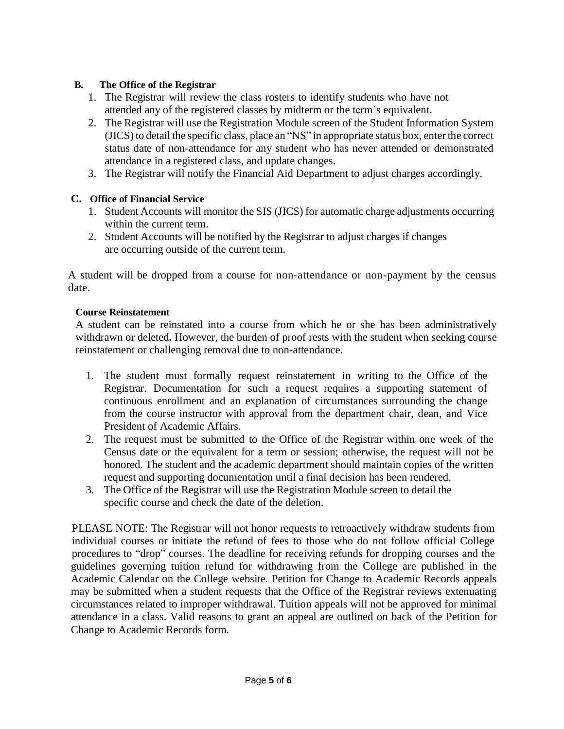#### **B. The Office of the Registrar**

- 1. The Registrar will review the class rosters to identify students who have not attended any of the registered classes by midterm or the term's equivalent.
- 2. The Registrar will use the Registration Module screen of the Student Information System (JICS) to detail the specific class, place an "NS" in appropriate status box, enter the correct status date of non-attendance for any student who has never attended or demonstrated attendance in a registered class, and update changes.
- 3. The Registrar will notify the Financial Aid Department to adjust charges accordingly.

#### **C. Office of Financial Service**

- 1. Student Accounts will monitor the SIS (JICS) for automatic charge adjustments occurring within the current term.
- 2. Student Accounts will be notified by the Registrar to adjust charges if changes are occurring outside of the current term.

A student will be dropped from a course for non-attendance or non-payment by the census date.

#### **Course Reinstatement**

A student can be reinstated into a course from which he or she has been administratively withdrawn or deleted**.** However, the burden of proof rests with the student when seeking course reinstatement or challenging removal due to non-attendance.

- 1. The student must formally request reinstatement in writing to the Office of the Registrar. Documentation for such a request requires a supporting statement of continuous enrollment and an explanation of circumstances surrounding the change from the course instructor with approval from the department chair, dean, and Vice President of Academic Affairs.
- 2. The request must be submitted to the Office of the Registrar within one week of the Census date or the equivalent for a term or session; otherwise, the request will not be honored. The student and the academic department should maintain copies of the written request and supporting documentation until a final decision has been rendered.
- 3. The Office of the Registrar will use the Registration Module screen to detail the specific course and check the date of the deletion.

PLEASE NOTE: The Registrar will not honor requests to retroactively withdraw students from individual courses or initiate the refund of fees to those who do not follow official College procedures to "drop" courses. The deadline for receiving refunds for dropping courses and the guidelines governing tuition refund for withdrawing from the College are published in the Academic Calendar on the College website. Petition for Change to Academic Records appeals may be submitted when a student requests that the Office of the Registrar reviews extenuating circumstances related to improper withdrawal. Tuition appeals will not be approved for minimal attendance in a class. Valid reasons to grant an appeal are outlined on back of the Petition for Change to Academic Records form.